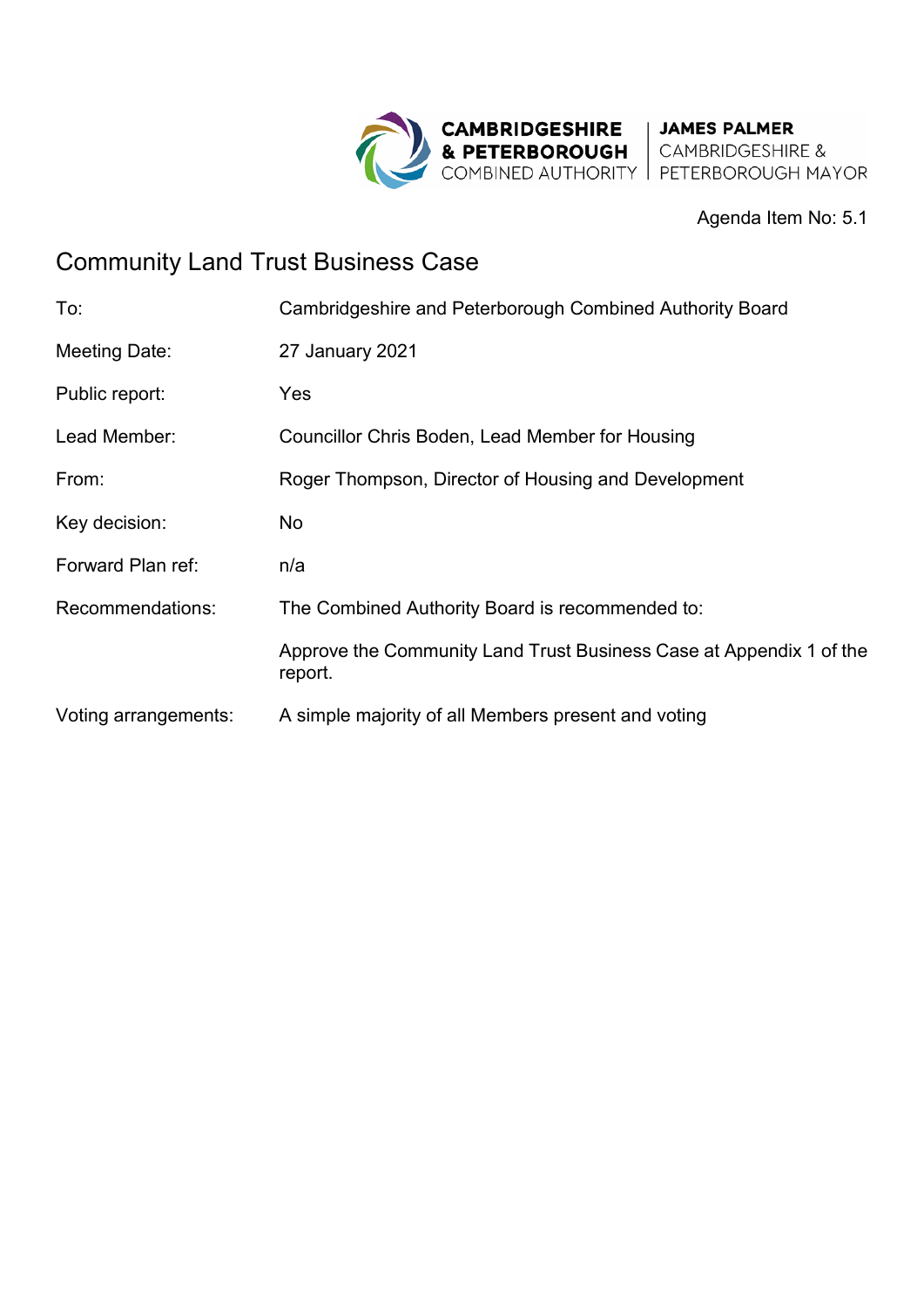

#### Agenda Item No: 5.1

# Community Land Trust Business Case

| To:                  | Cambridgeshire and Peterborough Combined Authority Board                       |
|----------------------|--------------------------------------------------------------------------------|
| Meeting Date:        | 27 January 2021                                                                |
| Public report:       | Yes                                                                            |
| Lead Member:         | Councillor Chris Boden, Lead Member for Housing                                |
| From:                | Roger Thompson, Director of Housing and Development                            |
| Key decision:        | No                                                                             |
| Forward Plan ref:    | n/a                                                                            |
| Recommendations:     | The Combined Authority Board is recommended to:                                |
|                      | Approve the Community Land Trust Business Case at Appendix 1 of the<br>report. |
| Voting arrangements: | A simple majority of all Members present and voting                            |